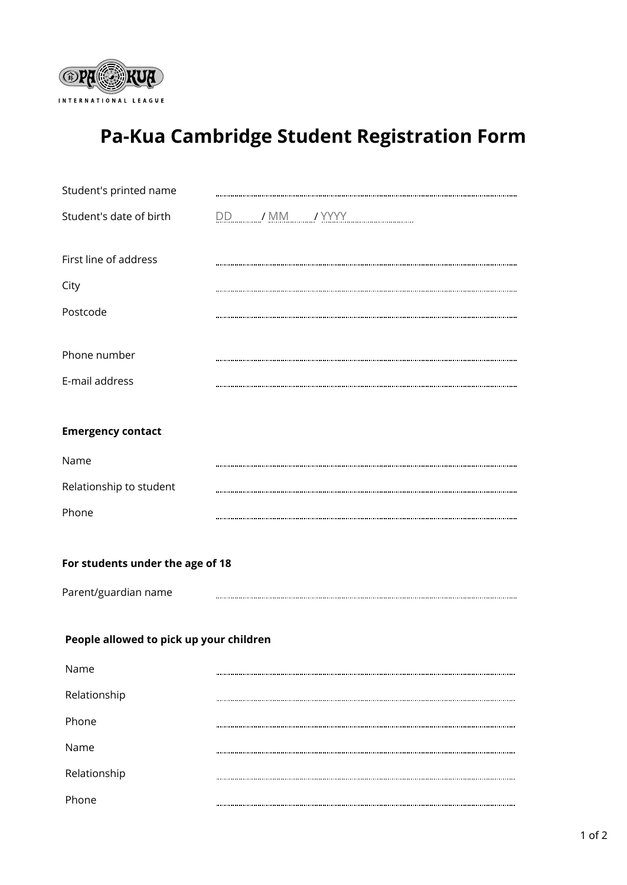

## **Pa-Kua Cambridge Student Registration Form**

| Student's printed name                  |  |
|-----------------------------------------|--|
| Student's date of birth                 |  |
| First line of address                   |  |
| City                                    |  |
| Postcode                                |  |
| Phone number                            |  |
| E-mail address                          |  |
| <b>Emergency contact</b>                |  |
| Name                                    |  |
| Relationship to student                 |  |
| Phone                                   |  |
| For students under the age of 18        |  |
| Parent/guardian name                    |  |
| People allowed to pick up your children |  |
| Name                                    |  |
| Relationship                            |  |
| Phone                                   |  |
| Name                                    |  |
| Relationship                            |  |
|                                         |  |